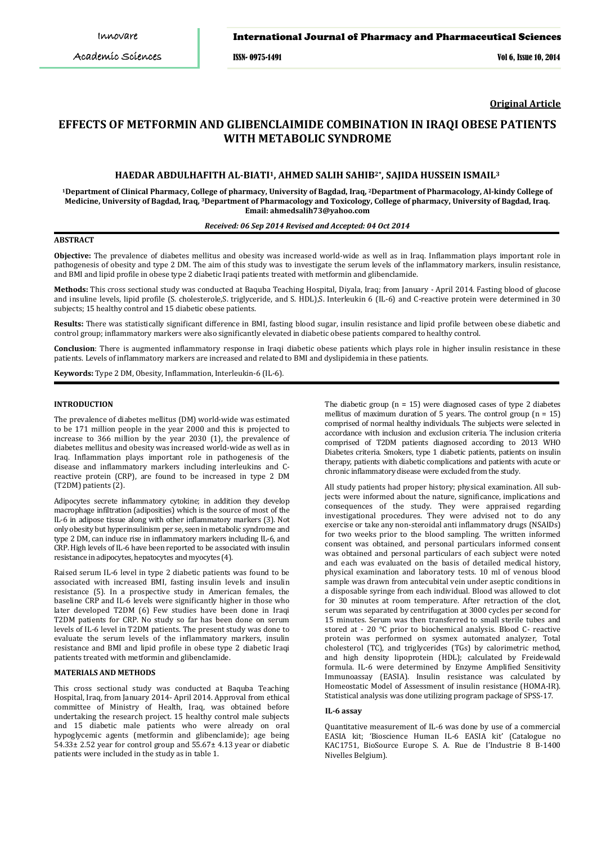ISSN- 0975-1491 Vol 6, Issue 10, 2014

**Original Article**

# **EFFECTS OF METFORMIN AND GLIBENCLAIMIDE COMBINATION IN IRAQI OBESE PATIENTS WITH METABOLIC SYNDROME**

# **HAEDAR ABDULHAFITH AL-BIATI1, AHMED SALIH SAHIB2\*, SAJIDA HUSSEIN ISMAIL3**

**1Department of Clinical Pharmacy, College of pharmacy, University of Bagdad, Iraq, 2Department of Pharmacology, Al-kindy College of Medicine, University of Bagdad, Iraq, 3 Department of Pharmacology and Toxicology, College of pharmacy, University of Bagdad, Iraq. [ahmedsalih73@yahoo.com](mailto:ahmedsalih73@yahoo.com) Email:**

# *Received: 06 Sep 2014 Revised and Accepted: 04 Oct 2014*

# **ABSTRACT**

**Objective:** The prevalence of diabetes mellitus and obesity was increased world-wide as well as in Iraq. Inflammation plays important role in pathogenesis of obesity and type 2 DM. The aim of this study was to investigate the serum levels of the inflammatory markers, insulin resistance, and BMI and lipid profile in obese type 2 diabetic Iraqi patients treated with metformin and glibenclamide.

**Methods:** This cross sectional study was conducted at Baquba Teaching Hospital, Diyala, Iraq; from January - April 2014. Fasting blood of glucose and insuline levels, lipid profile (S. cholesterole,S. triglyceride, and S. HDL),S. Interleukin 6 (IL-6) and C-reactive protein were determined in 30 subjects; 15 healthy control and 15 diabetic obese patients.

**Results:** There was statistically significant difference in BMI, fasting blood sugar, insulin resistance and lipid profile between obese diabetic and control group; inflammatory markers were also significantly elevated in diabetic obese patients compared to healthy control.

**Conclusion**: There is augmented inflammatory response in Iraqi diabetic obese patients which plays role in higher insulin resistance in these patients. Levels of inflammatory markers are increased and related to BMI and dyslipidemia in these patients.

**Keywords:** Type 2 DM, Obesity, Inflammation, Interleukin-6 (IL-6)*.*

#### **INTRODUCTION**

The prevalence of diabetes mellitus (DM) world-wide was estimated to be 171 million people in the year 2000 and this is projected to increase to 366 million by the year 2030 (1), the prevalence of diabetes mellitus and obesity was increased world-wide as well as in Iraq. Inflammation plays important role in pathogenesis of the disease and inflammatory markers including interleukins and Creactive protein (CRP), are found to be increased in type 2 DM (T2DM) patients (2).

Adipocytes secrete inflammatory cytokine; in addition they develop macrophage infiltration (adiposities) which is the source of most of the IL-6 in adipose tissue along with other inflammatory markers (3). Not only obesity but hyperinsulinism per se, seen in metabolic syndrome and type 2 DM, can induce rise in inflammatory markers including IL-6, and CRP. High levels of IL-6 have been reported to be associated with insulin resistance in adipocytes, hepatocytes and myocytes (4).

Raised serum IL-6 level in type 2 diabetic patients was found to be associated with increased BMI, fasting insulin levels and insulin resistance (5). In a prospective study in American females, the baseline CRP and IL-6 levels were significantly higher in those who later developed T2DM (6) Few studies have been done in Iraqi T2DM patients for CRP. No study so far has been done on serum levels of IL-6 level in T2DM patients. The present study was done to evaluate the serum levels of the inflammatory markers, insulin resistance and BMI and lipid profile in obese type 2 diabetic Iraqi patients treated with metformin and glibenclamide.

# **MATERIALS AND METHODS**

This cross sectional study was conducted at Baquba Teaching Hospital, Iraq, from January 2014- April 2014. Approval from ethical committee of Ministry of Health, Iraq, was obtained before undertaking the research project. 15 healthy control male subjects and 15 diabetic male patients who were already on oral hypoglycemic agents (metformin and glibenclamide); age being 54.33± 2.52 year for control group and 55.67± 4.13 year or diabetic patients were included in the study as in table 1.

The diabetic group  $(n = 15)$  were diagnosed cases of type 2 diabetes mellitus of maximum duration of 5 years. The control group  $(n = 15)$ comprised of normal healthy individuals. The subjects were selected in accordance with inclusion and exclusion criteria. The inclusion criteria comprised of T2DM patients diagnosed according to 2013 WHO Diabetes criteria. Smokers, type 1 diabetic patients, patients on insulin therapy, patients with diabetic complications and patients with acute or chronic inflammatory disease were excluded from the study.

All study patients had proper history; physical examination. All subjects were informed about the nature, significance, implications and consequences of the study. They were appraised regarding investigational procedures. They were advised not to do any exercise or take any non-steroidal anti inflammatory drugs (NSAIDs) for two weeks prior to the blood sampling. The written informed consent was obtained, and personal particulars informed consent was obtained and personal particulars of each subject were noted and each was evaluated on the basis of detailed medical history, physical examination and laboratory tests. 10 ml of venous blood sample was drawn from antecubital vein under aseptic conditions in a disposable syringe from each individual. Blood was allowed to clot for 30 minutes at room temperature. After retraction of the clot, serum was separated by centrifugation at 3000 cycles per second for 15 minutes. Serum was then transferred to small sterile tubes and stored at - 20 °C prior to biochemical analysis. Blood C- reactive protein was performed on sysmex automated analyzer, Total cholesterol (TC), and triglycerides (TGs) by calorimetric method, and high density lipoprotein (HDL); calculated by Freidewald formula. IL-6 were determined by Enzyme Amplified Sensitivity Immunoassay (EASIA). Insulin resistance was calculated by Homeostatic Model of Assessment of insulin resistance (HOMA-IR). Statistical analysis was done utilizing program package of SPSS-17.

#### **IL-6 assay**

Quantitative measurement of IL-6 was done by use of a commercial EASIA kit; 'Bioscience Human IL-6 EASIA kit' (Catalogue no KAC1751, BioSource Europe S. A. Rue de I'Industrie 8 B-1400 Nivelles Belgium).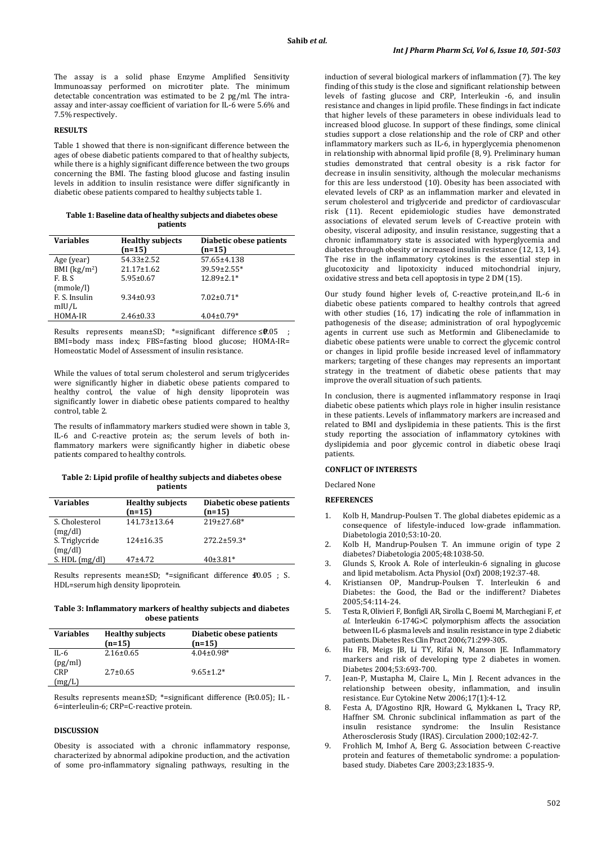The assay is a solid phase Enzyme Amplified Sensitivity Immunoassay performed on microtiter plate. The minimum detectable concentration was estimated to be 2 pg/ml. The intraassay and inter-assay coefficient of variation for IL-6 were 5.6% and 7.5% respectively.

# **RESULTS**

Table 1 showed that there is non-significant difference between the ages of obese diabetic patients compared to that of healthy subjects, while there is a highly significant difference between the two groups concerning the BMI. The fasting blood glucose and fasting insulin levels in addition to insulin resistance were differ significantly in diabetic obese patients compared to healthy subjects table 1.

| Table 1: Baseline data of healthy subjects and diabetes obese |
|---------------------------------------------------------------|
| patients                                                      |

| <b>Variables</b>  | <b>Healthy subjects</b><br>$(n=15)$ | Diabetic obese patients<br>$(n=15)$ |
|-------------------|-------------------------------------|-------------------------------------|
| Age (year)        | $54.33 \pm 2.52$                    | 57.65±4.138                         |
| BMI $(kg/m2)$     | $21.17 \pm 1.62$                    | $39.59 \pm 2.55*$                   |
| F. B. S           | $5.95 \pm 0.67$                     | $12.89 \pm 2.1*$                    |
| (mmole/l)         |                                     |                                     |
| F. S. Insulin     | $9.34 \pm 0.93$                     | $7.02 \pm 0.71*$                    |
| m <sub>U</sub> /L |                                     |                                     |
| HOMA-IR           | $2.46 \pm 0.33$                     | $4.04 \pm 0.79*$                    |

Results represents mean±SD; \*=significant difference ≤0.05 BMI=body mass index; FBS=fasting blood glucose; HOMA-IR= Homeostatic Model of Assessment of insulin resistance.

While the values of total serum cholesterol and serum triglycerides were significantly higher in diabetic obese patients compared to healthy control, the value of high density lipoprotein was significantly lower in diabetic obese patients compared to healthy control, table 2.

The results of inflammatory markers studied were shown in table 3, IL-6 and C-reactive protein as; the serum levels of both inflammatory markers were significantly higher in diabetic obese patients compared to healthy controls.

#### **Table 2: Lipid profile of healthy subjects and diabetes obese patients**

| <b>Variables</b>          | <b>Healthy subjects</b><br>$(n=15)$ | Diabetic obese patients<br>$(n=15)$ |
|---------------------------|-------------------------------------|-------------------------------------|
| S. Cholesterol<br>(mg/dl) | 141.73±13.64                        | 219±27.68*                          |
| S. Triglycride<br>(mg/dl) | $124 \pm 16.35$                     | $272.2 \pm 59.3*$                   |
| S. $HDL$ (mg/dl)          | $47+4.72$                           | $40\pm3.81*$                        |

Results represents mean±SD; \*=significant difference **£**0.05 ; S. HDL=serum high density lipoprotein.

**Table 3: Inflammatory markers of healthy subjects and diabetes obese patients**

| <b>Variables</b> | <b>Healthy subjects</b><br>$(n=15)$ | Diabetic obese patients<br>$(n=15)$ |
|------------------|-------------------------------------|-------------------------------------|
| IL-6             | $2.16 \pm 0.65$                     | $4.04 \pm 0.98$ *                   |
| (pg/ml)          |                                     |                                     |
| <b>CRP</b>       | $2.7 \pm 0.65$                      | $9.65 \pm 1.2*$                     |
| (mg/L)           |                                     |                                     |

Results represents mean±SD; \*=significant difference (P≤0.05); IL -6=interleulin-6; CRP=C-reactive protein.

## **DISCUSSION**

Obesity is associated with a chronic inflammatory response, characterized by abnormal adipokine production, and the activation of some pro-inflammatory signaling pathways, resulting in the induction of several biological markers of inflammation (7). The key finding of this study is the close and significant relationship between levels of fasting glucose and CRP, Interleukin -6, and insulin resistance and changes in lipid profile. These findings in fact indicate that higher levels of these parameters in obese individuals lead to increased blood glucose. In support of these findings, some clinical studies support a close relationship and the role of CRP and other inflammatory markers such as IL-6, in hyperglycemia phenomenon in relationship with abnormal lipid profile (8, 9). Preliminary human studies demonstrated that central obesity is a risk factor for decrease in insulin sensitivity, although the molecular mechanisms for this are less understood (10). Obesity has been associated with elevated levels of CRP as an inflammation marker and elevated in serum cholesterol and triglyceride and predictor of cardiovascular risk (11). Recent epidemiologic studies have demonstrated associations of elevated serum levels of C-reactive protein with obesity, visceral adiposity, and insulin resistance, suggesting that a chronic inflammatory state is associated with hyperglycemia and diabetes through obesity or increased insulin resistance (12, 13, 14). The rise in the inflammatory cytokines is the essential step in glucotoxicity and lipotoxicity induced mitochondrial injury, oxidative stress and beta cell apoptosis in type 2 DM (15).

Our study found higher levels of, C-reactive protein,and IL-6 in diabetic obese patients compared to healthy controls that agreed with other studies (16, 17) indicating the role of inflammation in pathogenesis of the disease; administration of oral hypoglycemic agents in current use such as Metformin and Glibeneclamide to diabetic obese patients were unable to correct the glycemic control or changes in lipid profile beside increased level of inflammatory markers; targeting of these changes may represents an important strategy in the treatment of diabetic obese patients that may improve the overall situation of such patients.

In conclusion, there is augmented inflammatory response in Iraqi diabetic obese patients which plays role in higher insulin resistance in these patients. Levels of inflammatory markers are increased and related to BMI and dyslipidemia in these patients. This is the first study reporting the association of inflammatory cytokines with dyslipidemia and poor glycemic control in diabetic obese Iraqi patients.

#### **CONFLICT OF INTERESTS**

Declared None

#### **REFERENCES**

- 1. Kolb H, Mandrup-Poulsen T. The global diabetes epidemic as a consequence of lifestyle-induced low-grade inflammation. Diabetologia 2010;53:10-20.
- 2. Kolb H, Mandrup-Poulsen T. An immune origin of type 2 diabetes? Diabetologia 2005;48:1038-50.
- 3. Glunds S, Krook A. Role of interleukin-6 signaling in glucose and lipid metabolism. Acta Physiol (Oxf) 2008;192:37-48.
- 4. Kristiansen OP, Mandrup-Poulsen T. Interleukin 6 and Diabetes: the Good, the Bad or the indifferent? Diabetes 2005;54:114-24.
- 5. Testa R, Olivieri F, Bonfigli AR, Sirolla C, Boemi M, Marchegiani F, *et al*. Interleukin 6-174G>C polymorphism affects the association between IL-6 plasma levels and insulin resistance in type 2 diabetic patients. Diabetes Res Clin Pract 2006;71:299-305.
- 6. Hu FB, Meigs JB, Li TY, Rifai N, Manson JE. Inflammatory markers and risk of developing type 2 diabetes in women. Diabetes 2004;53:693-700.
- 7. Jean-P, Mustapha M, Claire L, Min J. Recent advances in the relationship between obesity, inflammation, and insulin resistance. Eur Cytokine Netw 2006;17(1):4-12.
- 8. Festa A, D'Agostino RJR, Howard G, Mykkanen L, Tracy RP, Haffner SM. Chronic subclinical inflammation as part of the insulin resistance syndrome: the Insulin Resistance Atherosclerosis Study (IRAS). Circulation 2000;102:42-7.
- 9. Frohlich M, Imhof A, Berg G. Association between C-reactive protein and features of themetabolic syndrome: a populationbased study. Diabetes Care 2003;23:1835-9.